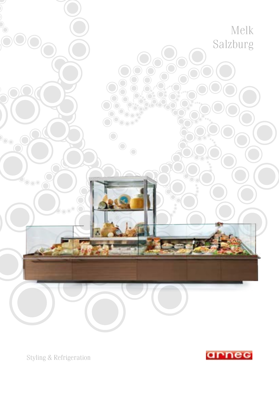

Styling & Refrigeration

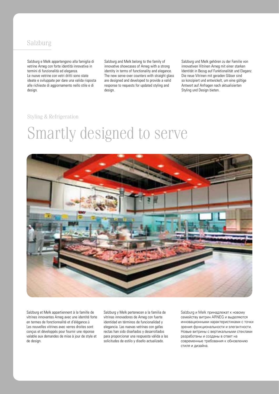#### Salzburg

Salzburg e Melk appartengono alla famiglia di vetrine Arneg con forte identità innovativa in termini di funzionalità ed eleganza. Le nuove vetrine con vetri dritti sono state ideate e sviluppate per dare una valida risposta alle richieste di aggiornamento nello stile e di design.

Salzburg and Melk belong to the family of innovative showcases of Arneg with a strong identity in terms of functionality and elegance. The new serve-over counters with straight glass are designed and developed to provide a valid response to requests for updated styling and design.

Salzburg und Melk gehören zu der Familie von innovativen Vitrinen Arneg mit einer starken Identität in Bezug auf Funktionalität und Eleganz. Die neue Vitrinen mit geraden Gläser sind so konzipiert und entwickelt, um eine gültige Antwort auf Anfragen nach aktualisierten Styling und Design bieten.

#### Styling & Refrigeration

### Smartly designed to serve



Salzburg et Melk appartiennent à la famille de vitrines innovantes Arneg avec une identité forte en termes de fonctionnalité et d'élégance.ù Les nouvelles vitrines avec verres droites sont conçus et développés pour fournir une réponse valable aux demandes de mise à jour de style et de design.

Salzburg y Melk pertenecen a la familia de vitrinas innovadores de Arneg con fuerte identidad en términos de funcionalidad y elegancia. Las nuevas vetrinas con gafas rectas han sido diseñados y desarrollados para proporcionar una respuesta válida a las solicitudes de estilo y diseño actualizado.

Salzburg и Melk принадлежат к новому семейству витрин ARNEG и выделяются инновационными характеристиками с точки зрения функциональности и элегантности. Новые витрины с вертикальными стеклами разработаны и созданы в ответ на современные требования к обновлению стиля и дизайна.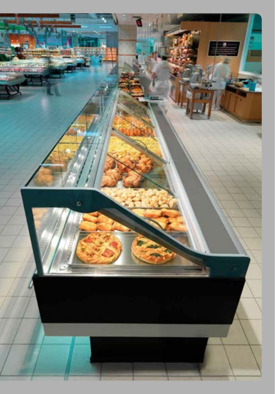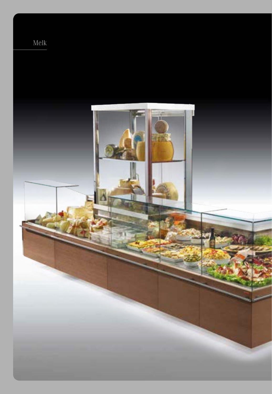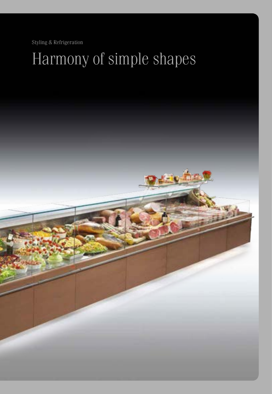Styling & Refrigeration

# Harmony of simple shapes

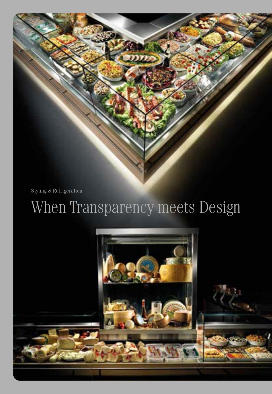

Styling & Refrigeration

## When Transparency meets Design

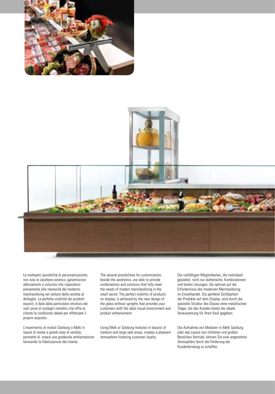



Le molteplici possibilità di personalizzazione, non solo di carattere estetico, garantiscono abbinamenti e soluzioni che rispondono pienamente alle necessità del moderno merchandising nel settore della vendita al dettaglio. La perfetta visibilità dei prodotti esposti, è data dalla particolare struttura dei vetri priva di sostegni metallici che offre al cliente la condizione ideale per effettuare il proprio acquisto.

L'inserimento di moduli Salzburg o Melk in layout di medie e grandi aree di vendita, permette di creare una gradevole ambientazione favorendo la fidelizzazione del cliente.

The several possibilities for customization, beside the aesthetics, are able to provide combinations and solutions that fully meet the needs of modern merchandising in the retail sector. The perfect visibility of products on display, is achieved by the new design of the glass without uprights that provides your customers with the ideal visual environment and product enhancement.

Using Melk or Salzburg modules in layouts of medium and large sale areas, creates a pleasant atmosphere fostering customer loyalty.

Die vielfältigen Möglichkeiten, die individuell gestaltet, nicht nur ästhetische, Kombinationen und bieten Lösungen, die optimal auf die Erfordernisse des modernen Merchandising im Einzelhandel. Die perfekte Sichtbarkeit der Produkte auf dem Display, wird durch die spezielle Struktur des Glases ohne metallischen Träger, die den Kunden bietet die ideale Voraussetzung für Ihren Kauf gegeben.

Die Aufnahme von Modulen in Melk Salzburg oder das Layout von mittleren und großen Bereichen Vertrieb, können Sie eine angenehme Atmosphäre durch die Förderung der Kundenbindung zu schaffen.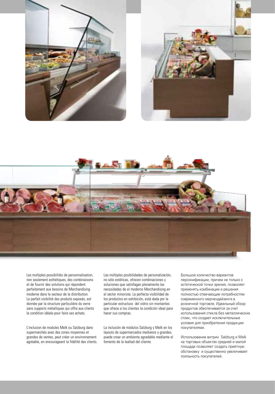



Les multiples possibilités de personnalisation, non seulement esthétiques, des combinaisons et de fournir des solutions qui répondent parfaitement aux besoins de Merchandising moderne dans le secteur de la distribution. Le parfait visibilité des produits exposés, est donnée par la structure particulière du verre sans supports métalliques qui offre aux clients la condition idéale pour faire ses achats.

L'inclusion de modules Melk ou Salzburg dans supermarchés avec des zones moyennes et grandes de ventes, peut créer un environnement agréable, en encourageant la fidélité des clients.

Las múltiples posibilidades de personalización, no sólo estéticas, ofrecen combinaciones y soluciones que satisfagan plenamente las necesidades de el moderno Merchandising en el sector minorista. La perfecta visibilidad de los productos en exhibición, está dada por la particular estructura del vidrio sin montantes que ofrece a los clientes la condición ideal para hacer sus compras.

La inclusión de módulos Salzburg y Melk en los layouts de supermercados medianos y grandes, puede crear un ambiente agradable mediante el fomento de la lealtad del cliente.

Большое количество вариантов персонификации, причем не только с эстетической точки зрения, позволяет применять комбинации и решения полностью отвечающие потребностям современного мерчендайзинга в розничной торговле. Идеальный обзор продуктов обеспечивается за счет использования стекла без металлических стоек, что создает исключительные условия для приобретения продукции покупателями.

Использование витрин Salzburg и Melk на торговых объектах средней и малой площади позволяет создать приятную обстановку и существенно увеличивает лояльность покупателей.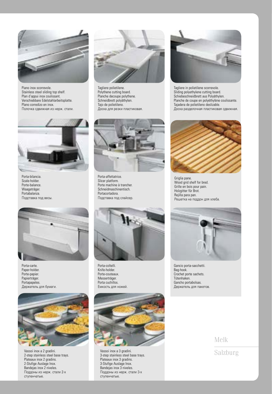

Piano inox scorrevole. Stainless steel sliding top shelf. Plan d'appui inox coulissant. Verschiebbare Edelstahlarbeitsplatte. Plano corredizo en inox. Полочка сдвижная из нерж. стали.



Porta-bilancia. Scale-holder. Porte-balance. Waageträger. Portabalanza. Подставка под весы.



Porta-carte. Paper-holder. Porte-papier. Papierträger. Portapapeles. Держатель для бумаги.



Vassoi inox a 2 gradini. 2-step stainless steel base trays. Plateaux inox 2 gradins. 2-Stufige Auslage Inox. Bandejas inox 2 niveles. Поддоны из нерж. стали 2-х ступенчатые.



Tagliere polietilene. Polythene cutting board. Planche decoupe polythene. Schneidbrett polyäthylen. Tajo de polietileno. Доска для резки пластиковая.



Porta-affettatrice. Slicer platform. Porte machine à trancher. Schneidmaschinentisch. Portacortadora. Подставка под слайсер.



Porta-coltelli. Knife-holder. Porte-couteaux. Messerträger. Porta cuchillos. Емкость для ножей.



Vassoi inox a 3 gradini. 3-step stainless steel base trays. Plateaux inox 3 gradins. 3-Stufige Auslage Inox. Bandejas inox 3 niveles. Поддоны из нерж. стали 3-х ступенчатые.



Tagliere in polietilene scorrevole. Sliding polyethylene cutting board. Schiebeschneidbrett aus Polyäthylen. Planche de coupe en polyéthylène coulissante. Tajadera de polietileno deslizable. Доска разделочная пластиковая сдвижная.



Griglia pane. Wood grid shelf for bred. Grille en bois pour pain. Holzgitter für Brot. Rejilla para pan. Решетка на поддон для хлеба.



Gancio porta-sacchetti. Bag-hook. Crochet porte sachets. Tütenhaken. Gancho portabolsas. Держатель для пакетов.

Melk

Salzburg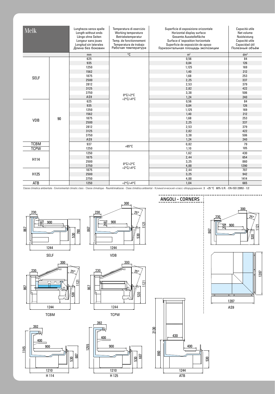| <b>Melk</b> |    | Lunghezza senza spalle<br>Length without ends<br>Länge ohne Seiten<br>Longeur sans joues<br>Longitud sin laterales<br>Длина без боковин | Temperatura di esercizio<br>Working temperature<br>Betriebstemperatur<br>Temp. de fonctionnement<br>Temperatura de trabajo<br>Рабочая температура | Superficie di esposizione orizzontale<br>Horizontal display surface<br>Gesamte Ausstellefläche<br>Surface d'exposition horizontale<br>Superficie de exposición de apoyo<br>Горизонтальная площадь экспозиции | Capacità utile<br>Net volume<br>Nutzleistung<br>Capacité utile<br>Capacidad útil<br>Полезный объём |
|-------------|----|-----------------------------------------------------------------------------------------------------------------------------------------|---------------------------------------------------------------------------------------------------------------------------------------------------|--------------------------------------------------------------------------------------------------------------------------------------------------------------------------------------------------------------|----------------------------------------------------------------------------------------------------|
|             |    | mm                                                                                                                                      | $\overline{c}$                                                                                                                                    | m <sup>2</sup>                                                                                                                                                                                               | dm <sup>3</sup>                                                                                    |
| <b>SELF</b> | 90 | 625                                                                                                                                     | $0^{\circ}$ C/+2 $^{\circ}$ C<br>+2 $^{\circ}$ C/+4 $^{\circ}$ C                                                                                  | 0,56                                                                                                                                                                                                         | 84                                                                                                 |
|             |    | 935                                                                                                                                     |                                                                                                                                                   | 0,84                                                                                                                                                                                                         | 126                                                                                                |
|             |    | 1250                                                                                                                                    |                                                                                                                                                   | 1,125                                                                                                                                                                                                        | 169                                                                                                |
|             |    | 1562                                                                                                                                    |                                                                                                                                                   | 1,40                                                                                                                                                                                                         | 212                                                                                                |
|             |    | 1875                                                                                                                                    |                                                                                                                                                   | 1,68                                                                                                                                                                                                         | 253                                                                                                |
|             |    | 2500                                                                                                                                    |                                                                                                                                                   | 2,25                                                                                                                                                                                                         | 337                                                                                                |
|             |    | 2812                                                                                                                                    |                                                                                                                                                   | 2,53                                                                                                                                                                                                         | 379                                                                                                |
|             |    | 3125                                                                                                                                    |                                                                                                                                                   | 2,82                                                                                                                                                                                                         | 422                                                                                                |
|             |    | 3750                                                                                                                                    |                                                                                                                                                   | 3,38                                                                                                                                                                                                         | 506                                                                                                |
|             |    | AS9                                                                                                                                     |                                                                                                                                                   | 1,24                                                                                                                                                                                                         | 240                                                                                                |
|             |    | 625                                                                                                                                     |                                                                                                                                                   | 0,56                                                                                                                                                                                                         | 84                                                                                                 |
|             |    | 935                                                                                                                                     |                                                                                                                                                   | 0,84                                                                                                                                                                                                         | 126                                                                                                |
|             |    | 1250                                                                                                                                    |                                                                                                                                                   | 1,125                                                                                                                                                                                                        | 169                                                                                                |
|             |    | 1562                                                                                                                                    |                                                                                                                                                   | 1,40                                                                                                                                                                                                         | 212                                                                                                |
|             |    | 1875                                                                                                                                    |                                                                                                                                                   | 1,68                                                                                                                                                                                                         | 253                                                                                                |
| VDB         |    | 2500                                                                                                                                    |                                                                                                                                                   | 2,25                                                                                                                                                                                                         | 337                                                                                                |
|             |    | 2812                                                                                                                                    |                                                                                                                                                   | 2,53                                                                                                                                                                                                         | 379                                                                                                |
|             |    | 3125                                                                                                                                    |                                                                                                                                                   | 2,82                                                                                                                                                                                                         | 422                                                                                                |
|             |    | 3750                                                                                                                                    |                                                                                                                                                   | 3,38                                                                                                                                                                                                         | 506                                                                                                |
|             |    | AS9                                                                                                                                     |                                                                                                                                                   | 1,24                                                                                                                                                                                                         | 240                                                                                                |
| <b>TCBM</b> |    | 937                                                                                                                                     | $+65^{\circ}$ C                                                                                                                                   | 0,82                                                                                                                                                                                                         | 79                                                                                                 |
| <b>TCPW</b> |    | 1250                                                                                                                                    |                                                                                                                                                   | 1,10                                                                                                                                                                                                         | 105                                                                                                |
|             |    | 1250                                                                                                                                    | $0^{\circ}$ C/+2 $^{\circ}$ C<br>+2 $^{\circ}$ C/+4 $^{\circ}$ C                                                                                  | 1,62                                                                                                                                                                                                         | 430                                                                                                |
|             |    | 1875                                                                                                                                    |                                                                                                                                                   | 2,44                                                                                                                                                                                                         | 654                                                                                                |
| H114        |    | 2500                                                                                                                                    |                                                                                                                                                   | 3,25                                                                                                                                                                                                         | 860                                                                                                |
|             |    | 3750                                                                                                                                    |                                                                                                                                                   | 4,88                                                                                                                                                                                                         | 1290                                                                                               |
| H125        |    | 1875                                                                                                                                    |                                                                                                                                                   | 2,44                                                                                                                                                                                                         | 707                                                                                                |
|             |    | 2500                                                                                                                                    |                                                                                                                                                   | 3,25                                                                                                                                                                                                         | 942                                                                                                |
|             |    | 3750                                                                                                                                    |                                                                                                                                                   | 4,88                                                                                                                                                                                                         | 1414                                                                                               |
| <b>ATB</b>  |    | 1250                                                                                                                                    | +2°C/+4°C                                                                                                                                         | 1,04                                                                                                                                                                                                         | 665                                                                                                |

Classe climatica ambientale - Environmental climatic class - Classe climatique - Raumklimaklasse - Clase climática ambiental - Климатический класс оборудования: 3 +25 °C 60% U.R. - EN-ISO 23953 - 1/2

















ANGOLI - CORNERS

 $-$ 



--------------------------

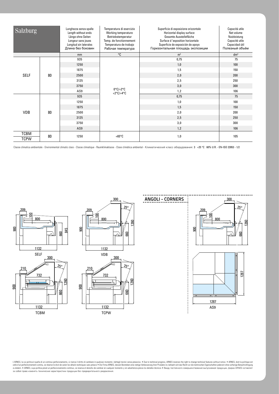| Salzburg                   |    | Lunghezza senza spalle<br>Length without ends<br>Länge ohne Seiten<br>Longeur sans joues<br>Longitud sin laterales<br>Длина без боковин | Temperatura di esercizio<br>Working temperature<br>Betriebstemperatur<br>Temp. de fonctionnement<br>Temperatura de trabajo<br>Рабочая температура | Superficie di esposizione orizzontale<br>Horizontal display surface<br>Gesamte Ausstellefläche<br>Surface d'exposition horizontale<br>Superficie de exposición de apoyo<br>Горизонтальная площадь экспозиции | Capacità utile<br>Net volume<br>Nutzleistung<br>Capacité utile<br>Capacidad útil<br>Полезный объём |
|----------------------------|----|-----------------------------------------------------------------------------------------------------------------------------------------|---------------------------------------------------------------------------------------------------------------------------------------------------|--------------------------------------------------------------------------------------------------------------------------------------------------------------------------------------------------------------|----------------------------------------------------------------------------------------------------|
|                            |    | mm                                                                                                                                      | °€                                                                                                                                                | m <sup>2</sup>                                                                                                                                                                                               | dm <sup>3</sup>                                                                                    |
| <b>SELF</b>                | 80 | 935                                                                                                                                     | $0^{\circ}$ C/+2 $^{\circ}$ C<br>$+2^{\circ}C/+4^{\circ}C$                                                                                        | 0,75                                                                                                                                                                                                         | 75                                                                                                 |
|                            |    | 1250                                                                                                                                    |                                                                                                                                                   | 1,0                                                                                                                                                                                                          | 100                                                                                                |
|                            |    | 1875                                                                                                                                    |                                                                                                                                                   | 1,5                                                                                                                                                                                                          | 150                                                                                                |
|                            |    | 2500                                                                                                                                    |                                                                                                                                                   | 2,0                                                                                                                                                                                                          | 200                                                                                                |
|                            |    | 3125                                                                                                                                    |                                                                                                                                                   | 2,5                                                                                                                                                                                                          | 250                                                                                                |
|                            |    | 3750                                                                                                                                    |                                                                                                                                                   | 3,0                                                                                                                                                                                                          | 300                                                                                                |
|                            |    | AS9                                                                                                                                     |                                                                                                                                                   | 1,2                                                                                                                                                                                                          | 106                                                                                                |
| <b>VDB</b>                 | 80 | 935                                                                                                                                     |                                                                                                                                                   | 0,75                                                                                                                                                                                                         | 75                                                                                                 |
|                            |    | 1250                                                                                                                                    |                                                                                                                                                   | 1,0                                                                                                                                                                                                          | 100                                                                                                |
|                            |    | 1875                                                                                                                                    |                                                                                                                                                   | 1,5                                                                                                                                                                                                          | 150                                                                                                |
|                            |    | 2500                                                                                                                                    |                                                                                                                                                   | 2,0                                                                                                                                                                                                          | 200                                                                                                |
|                            |    | 3125                                                                                                                                    |                                                                                                                                                   | 2,5                                                                                                                                                                                                          | 250                                                                                                |
|                            |    | 3750                                                                                                                                    |                                                                                                                                                   | 3,0                                                                                                                                                                                                          | 300                                                                                                |
|                            |    | AS9                                                                                                                                     |                                                                                                                                                   | 1,2                                                                                                                                                                                                          | 106                                                                                                |
| <b>TCBM</b><br><b>TCPW</b> | 80 | 1250                                                                                                                                    | $+65^{\circ}$ C                                                                                                                                   | 1,0                                                                                                                                                                                                          | 105                                                                                                |

Classe climatica ambientale - Environmental climatic class - Classe climatique - Raumklimaklasse - Clase climática ambiental - Климатический класс оборудования: 3 +25 °C 60% U.R. - EN-ISO 23953 - 1/2







L'ARNEG, la cui politica è quella di un continuo perfezionamento, si riserva il diritto di cambiare in qualsiasi momento i dettagli tecnici senza preavviso. • Due to technical progress, ARNEG reserves the right to change